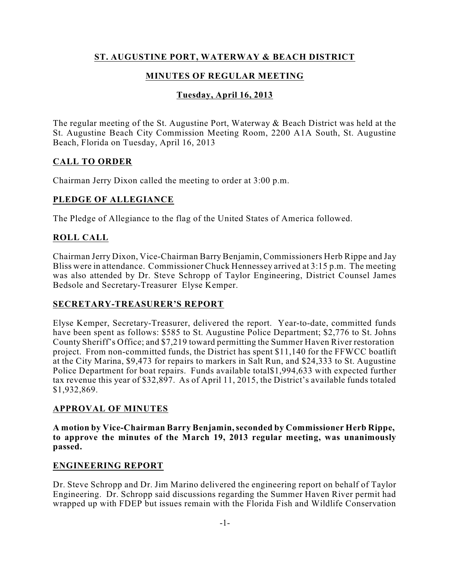# **ST. AUGUSTINE PORT, WATERWAY & BEACH DISTRICT**

# **MINUTES OF REGULAR MEETING**

# **Tuesday, April 16, 2013**

The regular meeting of the St. Augustine Port, Waterway & Beach District was held at the St. Augustine Beach City Commission Meeting Room, 2200 A1A South, St. Augustine Beach, Florida on Tuesday, April 16, 2013

## **CALL TO ORDER**

Chairman Jerry Dixon called the meeting to order at 3:00 p.m.

## **PLEDGE OF ALLEGIANCE**

The Pledge of Allegiance to the flag of the United States of America followed.

## **ROLL CALL**

Chairman Jerry Dixon, Vice-Chairman Barry Benjamin, Commissioners Herb Rippe and Jay Bliss were in attendance. Commissioner Chuck Hennessey arrived at 3:15 p.m. The meeting was also attended by Dr. Steve Schropp of Taylor Engineering, District Counsel James Bedsole and Secretary-Treasurer Elyse Kemper.

## **SECRETARY-TREASURER'S REPORT**

Elyse Kemper, Secretary-Treasurer, delivered the report. Year-to-date, committed funds have been spent as follows: \$585 to St. Augustine Police Department; \$2,776 to St. Johns County Sheriff's Office; and \$7,219 toward permitting the Summer Haven River restoration project. From non-committed funds, the District has spent \$11,140 for the FFWCC boatlift at the City Marina, \$9,473 for repairs to markers in Salt Run, and \$24,333 to St. Augustine Police Department for boat repairs. Funds available total\$1,994,633 with expected further tax revenue this year of \$32,897. As of April 11, 2015, the District's available funds totaled \$1,932,869.

#### **APPROVAL OF MINUTES**

**A motion by Vice-Chairman Barry Benjamin,seconded by Commissioner Herb Rippe, to approve the minutes of the March 19, 2013 regular meeting, was unanimously passed.**

#### **ENGINEERING REPORT**

Dr. Steve Schropp and Dr. Jim Marino delivered the engineering report on behalf of Taylor Engineering. Dr. Schropp said discussions regarding the Summer Haven River permit had wrapped up with FDEP but issues remain with the Florida Fish and Wildlife Conservation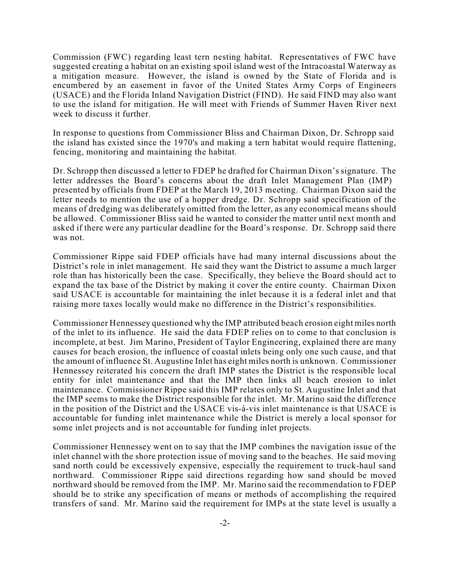Commission (FWC) regarding least tern nesting habitat. Representatives of FWC have suggested creating a habitat on an existing spoil island west of the Intracoastal Waterway as a mitigation measure. However, the island is owned by the State of Florida and is encumbered by an easement in favor of the United States Army Corps of Engineers (USACE) and the Florida Inland Navigation District (FIND). He said FIND may also want to use the island for mitigation. He will meet with Friends of Summer Haven River next week to discuss it further.

In response to questions from Commissioner Bliss and Chairman Dixon, Dr. Schropp said the island has existed since the 1970's and making a tern habitat would require flattening, fencing, monitoring and maintaining the habitat.

Dr. Schropp then discussed a letter to FDEP he drafted for Chairman Dixon's signature. The letter addresses the Board's concerns about the draft Inlet Management Plan (IMP) presented by officials from FDEP at the March 19, 2013 meeting. Chairman Dixon said the letter needs to mention the use of a hopper dredge. Dr. Schropp said specification of the means of dredging was deliberately omitted from the letter, as any economical means should be allowed. Commissioner Bliss said he wanted to consider the matter until next month and asked if there were any particular deadline for the Board's response. Dr. Schropp said there was not.

Commissioner Rippe said FDEP officials have had many internal discussions about the District's role in inlet management. He said they want the District to assume a much larger role than has historically been the case. Specifically, they believe the Board should act to expand the tax base of the District by making it cover the entire county. Chairman Dixon said USACE is accountable for maintaining the inlet because it is a federal inlet and that raising more taxes locally would make no difference in the District's responsibilities.

Commissioner Hennessey questioned why the IMP attributed beach erosion eight miles north of the inlet to its influence. He said the data FDEP relies on to come to that conclusion is incomplete, at best. Jim Marino, President of Taylor Engineering, explained there are many causes for beach erosion, the influence of coastal inlets being only one such cause, and that the amount of influence St. Augustine Inlet has eight miles north is unknown. Commissioner Hennessey reiterated his concern the draft IMP states the District is the responsible local entity for inlet maintenance and that the IMP then links all beach erosion to inlet maintenance. Commissioner Rippe said this IMP relates only to St. Augustine Inlet and that the IMP seems to make the District responsible for the inlet. Mr. Marino said the difference in the position of the District and the USACE vis-à-vis inlet maintenance is that USACE is accountable for funding inlet maintenance while the District is merely a local sponsor for some inlet projects and is not accountable for funding inlet projects.

Commissioner Hennessey went on to say that the IMP combines the navigation issue of the inlet channel with the shore protection issue of moving sand to the beaches. He said moving sand north could be excessively expensive, especially the requirement to truck-haul sand northward. Commissioner Rippe said directions regarding how sand should be moved northward should be removed from the IMP. Mr. Marino said the recommendation to FDEP should be to strike any specification of means or methods of accomplishing the required transfers of sand. Mr. Marino said the requirement for IMPs at the state level is usually a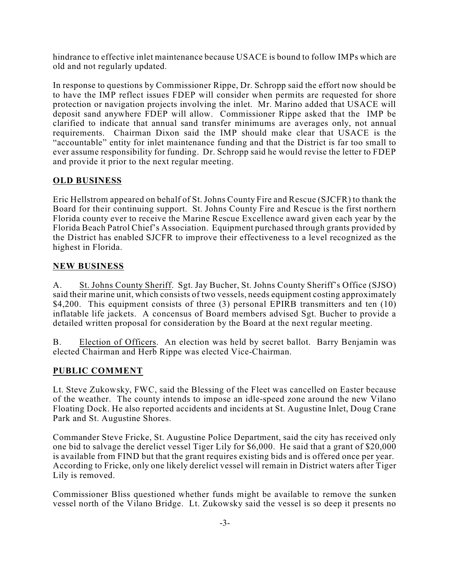hindrance to effective inlet maintenance because USACE is bound to follow IMPs which are old and not regularly updated.

In response to questions by Commissioner Rippe, Dr. Schropp said the effort now should be to have the IMP reflect issues FDEP will consider when permits are requested for shore protection or navigation projects involving the inlet. Mr. Marino added that USACE will deposit sand anywhere FDEP will allow. Commissioner Rippe asked that the IMP be clarified to indicate that annual sand transfer minimums are averages only, not annual requirements. Chairman Dixon said the IMP should make clear that USACE is the "accountable" entity for inlet maintenance funding and that the District is far too small to ever assume responsibility for funding. Dr. Schropp said he would revise the letter to FDEP and provide it prior to the next regular meeting.

### **OLD BUSINESS**

Eric Hellstrom appeared on behalf of St. Johns County Fire and Rescue (SJCFR) to thank the Board for their continuing support. St. Johns County Fire and Rescue is the first northern Florida county ever to receive the Marine Rescue Excellence award given each year by the Florida Beach Patrol Chief's Association. Equipment purchased through grants provided by the District has enabled SJCFR to improve their effectiveness to a level recognized as the highest in Florida.

#### **NEW BUSINESS**

A. St. Johns County Sheriff. Sgt. Jay Bucher, St. Johns County Sheriff's Office (SJSO) said their marine unit, which consists of two vessels, needs equipment costing approximately \$4,200. This equipment consists of three (3) personal EPIRB transmitters and ten (10) inflatable life jackets. A concensus of Board members advised Sgt. Bucher to provide a detailed written proposal for consideration by the Board at the next regular meeting.

B. Election of Officers. An election was held by secret ballot. Barry Benjamin was elected Chairman and Herb Rippe was elected Vice-Chairman.

## **PUBLIC COMMENT**

Lt. Steve Zukowsky, FWC, said the Blessing of the Fleet was cancelled on Easter because of the weather. The county intends to impose an idle-speed zone around the new Vilano Floating Dock. He also reported accidents and incidents at St. Augustine Inlet, Doug Crane Park and St. Augustine Shores.

Commander Steve Fricke, St. Augustine Police Department, said the city has received only one bid to salvage the derelict vessel Tiger Lily for \$6,000. He said that a grant of \$20,000 is available from FIND but that the grant requires existing bids and is offered once per year. According to Fricke, only one likely derelict vessel will remain in District waters after Tiger Lily is removed.

Commissioner Bliss questioned whether funds might be available to remove the sunken vessel north of the Vilano Bridge. Lt. Zukowsky said the vessel is so deep it presents no